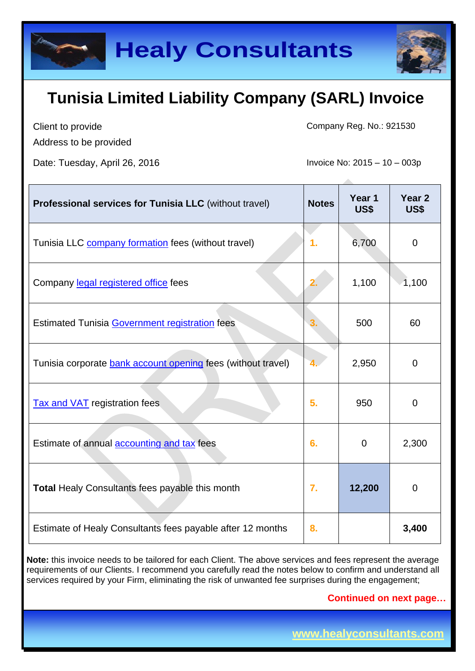Client to provide Address to be provided Company Reg. No.: 921530

Date: Tuesday, April 26, 2016 **Invoice No: 2015** – 10 – 003p

| <b>Professional services for Tunisia LLC</b> (without travel) | <b>Notes</b> | Year 1<br>US\$ | Year <sub>2</sub><br>US\$ |
|---------------------------------------------------------------|--------------|----------------|---------------------------|
| Tunisia LLC <b>company formation</b> fees (without travel)    | 1.           | 6,700          | $\mathbf 0$               |
| Company legal registered office fees                          | 2.           | 1,100          | 1,100                     |
| <b>Estimated Tunisia Government registration fees</b>         | 3.           | 500            | 60                        |
| Tunisia corporate bank account opening fees (without travel)  |              | 2,950          | $\overline{0}$            |
| <b>Tax and VAT</b> registration fees                          | 5.           | 950            | $\mathbf 0$               |
| Estimate of annual accounting and tax fees                    | 6.           | $\mathbf 0$    | 2,300                     |
| Total Healy Consultants fees payable this month               | 7.           | 12,200         | $\mathbf 0$               |
| Estimate of Healy Consultants fees payable after 12 months    | 8.           |                | 3,400                     |

**Note:** this invoice needs to be tailored for each Client. The above services and fees represent the average requirements of our Clients. I recommend you carefully read the notes below to confirm and understand all services required by your Firm, eliminating the risk of unwanted fee surprises during the engagement;

**Continued on next page…**

**www.healyconsultants.com** 

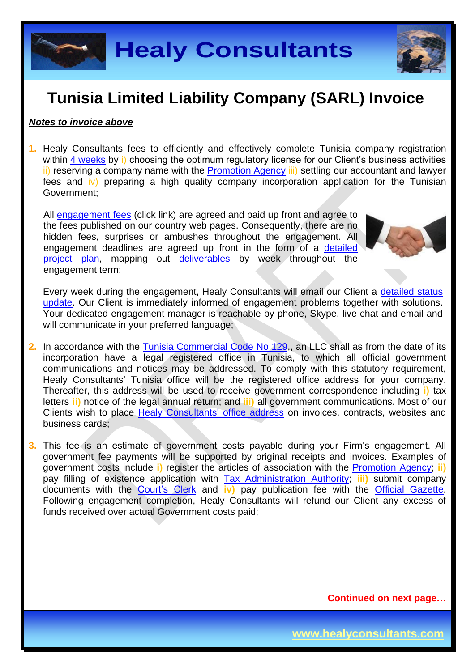**Healy Consultants**

#### **Tunisia Limited Liability Company (SARL) Invoice**

#### *Notes to invoice above*

**1.** Healy Consultants fees to efficiently and effectively complete Tunisia company registration within 4 [weeks](http://www.healyconsultants.com/tunisia-company-registration/fees-timelines/#timelines) by i) choosing the optimum regulatory license for our Client's business activities ii) reserving a company name with the [Promotion Agency](http://www.tunisieindustrie.nat.tn/fr/doc.asp?mcat=13&mrub=96) iii) settling our accountant and lawyer fees and iv) preparing a high quality company incorporation application for the Tunisian Government;

All [engagement fees](http://www.healyconsultants.com/company-registration-fees/) (click link) are agreed and paid up front and agree to the fees published on our country web pages. Consequently, there are no hidden fees, surprises or ambushes throughout the engagement. All engagement deadlines are agreed up front in the form of a [detailed](http://www.healyconsultants.com/index-important-links/example-project-plan/)  [project plan,](http://www.healyconsultants.com/index-important-links/example-project-plan/) mapping out [deliverables](http://www.healyconsultants.com/deliverables-to-our-clients/) by week throughout the engagement term;

Every week during the engagement, Healy Consultants will email our Client a [detailed status](http://www.healyconsultants.com/index-important-links/weekly-engagement-status-email/)  [update.](http://www.healyconsultants.com/index-important-links/weekly-engagement-status-email/) Our Client is immediately informed of engagement problems together with solutions. Your dedicated engagement manager is reachable by phone, Skype, live chat and email and will communicate in your preferred language;

- **2.** In accordance with the [Tunisia Commercial Code No 129,](http://www.wipo.int/wipolex/en/text.jsp?file_id=202217), an LLC shall as from the date of its incorporation have a legal registered office in Tunisia, to which all official government communications and notices may be addressed. To comply with this statutory requirement, Healy Consultants' Tunisia office will be the registered office address for your company. Thereafter, this address will be used to receive government correspondence including **i)** tax letters **ii)** notice of the legal annual return; and **iii)** all government communications. Most of our Clients wish to place [Healy Consultants'](http://www.healyconsultants.com/corporate-outsourcing-services/company-secretary-and-legal-registered-office/) office address on invoices, contracts, websites and business cards;
- **3.** This fee is an estimate of government costs payable during your Firm's engagement. All government fee payments will be supported by original receipts and invoices. Examples of government costs include **i)** register the articles of association with the [Promotion Agency;](http://www.tunisieindustrie.nat.tn/fr/doc.asp?mcat=13&mrub=96) **ii)** pay filling of existence application with [Tax Administration Authority;](http://www.pm.gov.tn/pm/article/article.php?id=199&lang=en) **iii)** submit company documents with the [Court's Clerk](http://www.tunisieindustrie.nat.tn/en/doc.asp?mcat=13&mrub=99&msrub=184&dev=true#&tar&) and **iv)** pay publication fee with the [Official Gazette.](http://www.linguee.com/french-english/translation/journal+officiel+de+la+r%C3%A9publique+tunisienne.html) Following engagement completion, Healy Consultants will refund our Client any excess of funds received over actual Government costs paid;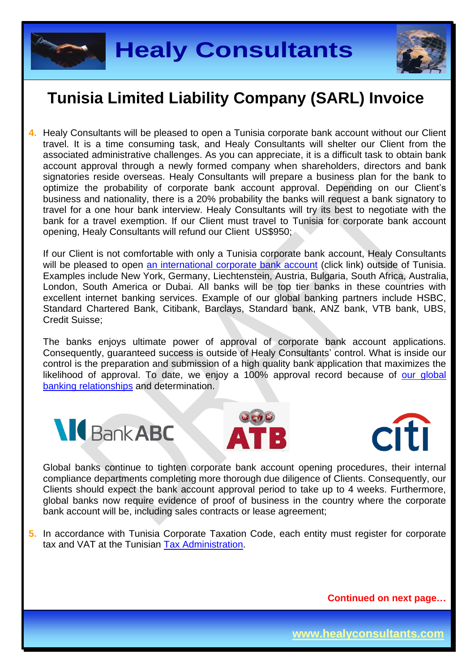



**4.** Healy Consultants will be pleased to open a Tunisia corporate bank account without our Client travel. It is a time consuming task, and Healy Consultants will shelter our Client from the associated administrative challenges. As you can appreciate, it is a difficult task to obtain bank account approval through a newly formed company when shareholders, directors and bank signatories reside overseas. Healy Consultants will prepare a business plan for the bank to optimize the probability of corporate bank account approval. Depending on our Client's business and nationality, there is a 20% probability the banks will request a bank signatory to travel for a one hour bank interview. Healy Consultants will try its best to negotiate with the bank for a travel exemption. If our Client must travel to Tunisia for corporate bank account opening, Healy Consultants will refund our Client US\$950;

If our Client is not comfortable with only a Tunisia corporate bank account, Healy Consultants will be pleased to open [an international corporate bank account](http://www.healyconsultants.com/international-banking/) (click link) outside of Tunisia. Examples include New York, Germany, Liechtenstein, Austria, Bulgaria, South Africa, Australia, London, South America or Dubai. All banks will be top tier banks in these countries with excellent internet banking services. Example of our global banking partners include HSBC, Standard Chartered Bank, Citibank, Barclays, Standard bank, ANZ bank, VTB bank, UBS, Credit Suisse;

The banks enjoys ultimate power of approval of corporate bank account applications. Consequently, guaranteed success is outside of Healy Consultants' control. What is inside our control is the preparation and submission of a high quality bank application that maximizes the likelihood of approval. To date, we enjoy a 100% approval record because of our global [banking relationships](http://www.healyconsultants.com/international-banking/corporate-accounts/) and determination.







Global banks continue to tighten corporate bank account opening procedures, their internal compliance departments completing more thorough due diligence of Clients. Consequently, our Clients should expect the bank account approval period to take up to 4 weeks. Furthermore, global banks now require evidence of proof of business in the country where the corporate bank account will be, including sales contracts or lease agreement;

**5.** In accordance with Tunisia Corporate Taxation Code, each entity must register for corporate tax and VAT at the Tunisian [Tax Administration.](http://www.pm.gov.tn/pm/article/article.php?id=199&lang=en)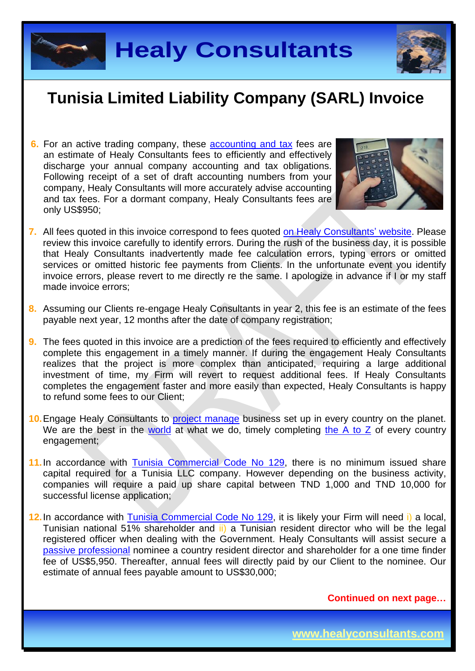



**6.** For an active trading company, these [accounting and tax](http://www.healyconsultants.com/tunisia-company-registration/accounting-legal/) fees are an estimate of Healy Consultants fees to efficiently and effectively discharge your annual company accounting and tax obligations. Following receipt of a set of draft accounting numbers from your company, Healy Consultants will more accurately advise accounting and tax fees. For a dormant company, Healy Consultants fees are only US\$950;



- **7.** All fees quoted in this invoice correspond to fees quoted [on Healy Consultants'](http://www.healyconsultants.com/company-registration-fees/) website. Please review this invoice carefully to identify errors. During the rush of the business day, it is possible that Healy Consultants inadvertently made fee calculation errors, typing errors or omitted services or omitted historic fee payments from Clients. In the unfortunate event you identify invoice errors, please revert to me directly re the same. I apologize in advance if I or my staff made invoice errors;
- **8.** Assuming our Clients re-engage Healy Consultants in year 2, this fee is an estimate of the fees payable next year, 12 months after the date of company registration;
- **9.** The fees quoted in this invoice are a prediction of the fees required to efficiently and effectively complete this engagement in a timely manner. If during the engagement Healy Consultants realizes that the project is more complex than anticipated, requiring a large additional investment of time, my Firm will revert to request additional fees. If Healy Consultants completes the engagement faster and more easily than expected, Healy Consultants is happy to refund some fees to our Client;
- **10.** Engage Healy Consultants to [project manage](http://www.healyconsultants.com/project-manage-engagements/) business set up in every country on the planet. We are the best in the [world](http://www.healyconsultants.com/best-in-the-world/) at what we do, timely completing the  $A$  to  $Z$  of every country engagement;
- 11. In accordance with [Tunisia Commercial Code No 129,](http://www.wipo.int/wipolex/en/text.jsp?file_id=202217) there is no minimum issued share capital required for a Tunisia LLC company. However depending on the business activity, companies will require a paid up share capital between TND 1,000 and TND 10,000 for successful license application;
- 12. In accordance with [Tunisia Commercial Code No 129,](http://www.wipo.int/wipolex/en/text.jsp?file_id=202217) it is likely your Firm will need i) a local, Tunisian national 51% shareholder and ii) a Tunisian resident director who will be the legal registered officer when dealing with the Government. Healy Consultants will assist secure a [passive professional](http://www.healyconsultants.com/resident-director-services/) nominee a country resident director and shareholder for a one time finder fee of US\$5,950. Thereafter, annual fees will directly paid by our Client to the nominee. Our estimate of annual fees payable amount to US\$30,000;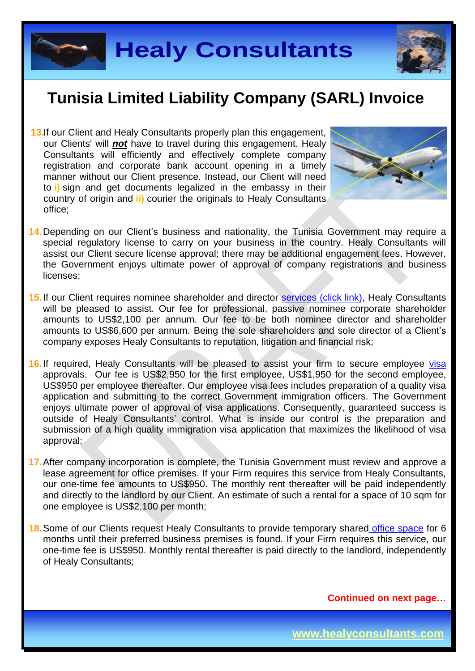



**13.** If our Client and Healy Consultants properly plan this engagement, our Clients' will *not* have to travel during this engagement. Healy Consultants will efficiently and effectively complete company registration and corporate bank account opening in a timely manner without our Client presence. Instead, our Client will need to **i)** sign and get documents legalized in the embassy in their country of origin and **ii)** courier the originals to Healy Consultants office;



- 14. Depending on our Client's business and nationality, the Tunisia Government may require a special regulatory license to carry on your business in the country. Healy Consultants will assist our Client secure license approval; there may be additional engagement fees. However, the Government enjoys ultimate power of approval of company registrations and business licenses;
- 15. If our Client requires nominee shareholder and director services [\(click link\),](http://www.healyconsultants.com/corporate-outsourcing-services/nominee-shareholders-directors/) Healy Consultants will be pleased to assist. Our fee for professional, passive nominee corporate shareholder amounts to US\$2,100 per annum. Our fee to be both nominee director and shareholder amounts to US\$6,600 per annum. Being the sole shareholders and sole director of a Client's company exposes Healy Consultants to reputation, litigation and financial risk;
- 16. If required, Healy Consultants will be pleased to assist your firm to secure employee [visa](http://www.healyconsultants.com/corporate-advisory-services/migration/) approvals. Our fee is US\$2,950 for the first employee, US\$1,950 for the second employee, US\$950 per employee thereafter. Our employee visa fees includes preparation of a quality visa application and submitting to the correct Government immigration officers. The Government enjoys ultimate power of approval of visa applications. Consequently, guaranteed success is outside of Healy Consultants' control. What is inside our control is the preparation and submission of a high quality immigration visa application that maximizes the likelihood of visa approval;
- **17.** After company incorporation is complete, the Tunisia Government must review and approve a lease agreement for office premises. If your Firm requires this service from Healy Consultants, our one-time fee amounts to US\$950. The monthly rent thereafter will be paid independently and directly to the landlord by our Client. An estimate of such a rental for a space of 10 sqm for one employee is US\$2,100 per month;
- **18.** Some of our Clients request Healy Consultants to provide temporary shared [office space](http://www.healyconsultants.com/virtual-office/) for 6 months until their preferred business premises is found. If your Firm requires this service, our one-time fee is US\$950. Monthly rental thereafter is paid directly to the landlord, independently of Healy Consultants;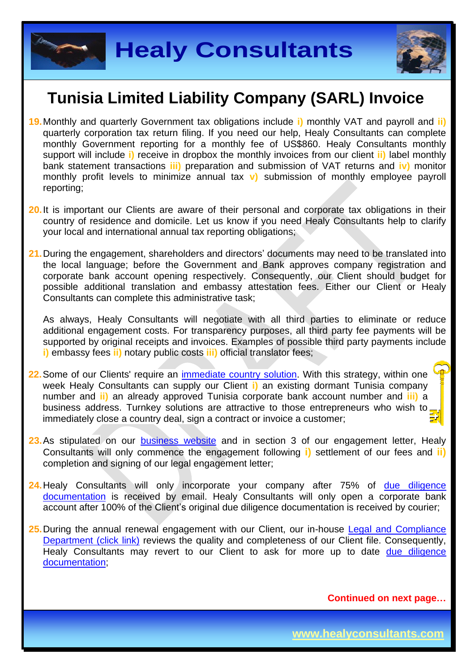



- **19.** Monthly and quarterly Government tax obligations include **i)** monthly VAT and payroll and **ii)**  quarterly corporation tax return filing. If you need our help, Healy Consultants can complete monthly Government reporting for a monthly fee of US\$860. Healy Consultants monthly support will include **i)** receive in dropbox the monthly invoices from our client **ii)** label monthly bank statement transactions **iii)** preparation and submission of VAT returns and **iv)** monitor monthly profit levels to minimize annual tax **v)** submission of monthly employee payroll reporting;
- 20. It is important our Clients are aware of their personal and corporate tax obligations in their country of residence and domicile. Let us know if you need Healy Consultants help to clarify your local and international annual tax reporting obligations;
- **21.** During the engagement, shareholders and directors' documents may need to be translated into the local language; before the Government and Bank approves company registration and corporate bank account opening respectively. Consequently, our Client should budget for possible additional translation and embassy attestation fees. Either our Client or Healy Consultants can complete this administrative task;

As always, Healy Consultants will negotiate with all third parties to eliminate or reduce additional engagement costs. For transparency purposes, all third party fee payments will be supported by original receipts and invoices. Examples of possible third party payments include **i)** embassy fees **ii)** notary public costs **iii)** official translator fees;

- 22. Some of our Clients' require an *immediate country solution*. With this strategy, within one week Healy Consultants can supply our Client **i)** an existing dormant Tunisia company number and **ii)** an already approved Tunisia corporate bank account number and **iii)** a business address. Turnkey solutions are attractive to those entrepreneurs who wish to immediately close a country deal, sign a contract or invoice a customer;
- 23. As stipulated on our [business website](http://www.healyconsultants.com/) and in section 3 of our engagement letter, Healy Consultants will only commence the engagement following **i)** settlement of our fees and **ii)** completion and signing of our legal engagement letter;
- 24. Healy Consultants will only incorporate your company after 75% of due diligence [documentation](http://www.healyconsultants.com/due-diligence/) is received by email. Healy Consultants will only open a corporate bank account after 100% of the Client's original due diligence documentation is received by courier;
- 25. During the annual renewal engagement with our Client, our in-house Legal and Compliance [Department \(click link\)](http://www.healyconsultants.com/about-us/key-personnel/cai-xin-profile/) reviews the quality and completeness of our Client file. Consequently, Healy Consultants may revert to our Client to ask for more up to date due diligence [documentation;](http://www.healyconsultants.com/due-diligence/)